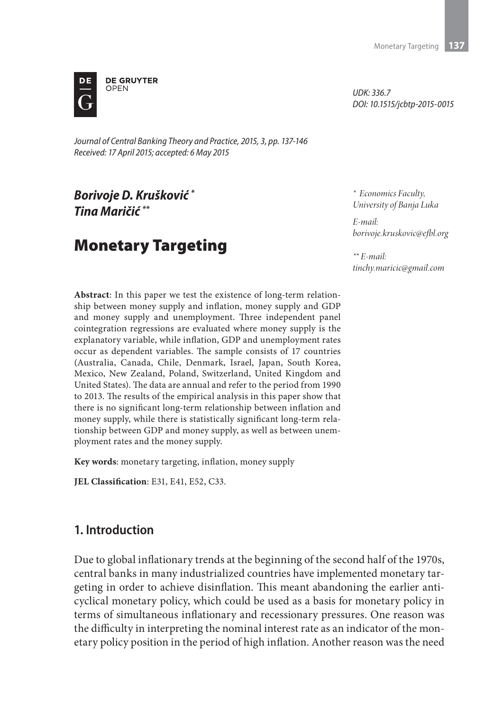

*Journal of Central Banking Theory and Practice, 2015, 3, pp. 137-146 Received: 17 April 2015; accepted: 6 May 2015*

# *Borivoje D. Krušković \* Tina Maričić \*\**

# Monetary Targeting

*UDK: 336.7 DOI: 10.1515/jcbtp-2015-0015*

*\* Economics Faculty, University of Banja Luka*

*E-mail: borivoje.kruskovic@efbl.org*

*\*\* E-mail: tinchy.maricic@gmail.com*

**Abstract**: In this paper we test the existence of long-term relationship between money supply and inflation, money supply and GDP and money supply and unemployment. Three independent panel cointegration regressions are evaluated where money supply is the explanatory variable, while inflation, GDP and unemployment rates occur as dependent variables. The sample consists of 17 countries (Australia, Canada, Chile, Denmark, Israel, Japan, South Korea, Mexico, New Zealand, Poland, Switzerland, United Kingdom and United States). The data are annual and refer to the period from 1990 to 2013. The results of the empirical analysis in this paper show that there is no significant long-term relationship between inflation and money supply, while there is statistically significant long-term relationship between GDP and money supply, as well as between unemployment rates and the money supply.

**Key words**: monetary targeting, inflation, money supply

**JEL Classification**: E31, E41, E52, C33.

# **1. Introduction**

Due to global inflationary trends at the beginning of the second half of the 1970s, central banks in many industrialized countries have implemented monetary targeting in order to achieve disinflation. This meant abandoning the earlier anticyclical monetary policy, which could be used as a basis for monetary policy in terms of simultaneous inflationary and recessionary pressures. One reason was the difficulty in interpreting the nominal interest rate as an indicator of the monetary policy position in the period of high inflation. Another reason was the need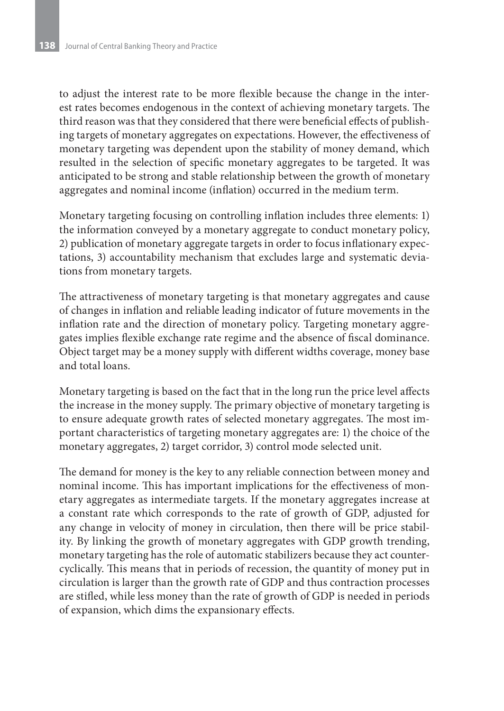to adjust the interest rate to be more flexible because the change in the interest rates becomes endogenous in the context of achieving monetary targets. The third reason was that they considered that there were beneficial effects of publishing targets of monetary aggregates on expectations. However, the effectiveness of monetary targeting was dependent upon the stability of money demand, which resulted in the selection of specific monetary aggregates to be targeted. It was anticipated to be strong and stable relationship between the growth of monetary aggregates and nominal income (inflation) occurred in the medium term.

Monetary targeting focusing on controlling inflation includes three elements: 1) the information conveyed by a monetary aggregate to conduct monetary policy, 2) publication of monetary aggregate targets in order to focus inflationary expectations, 3) accountability mechanism that excludes large and systematic deviations from monetary targets.

The attractiveness of monetary targeting is that monetary aggregates and cause of changes in inflation and reliable leading indicator of future movements in the inflation rate and the direction of monetary policy. Targeting monetary aggregates implies flexible exchange rate regime and the absence of fiscal dominance. Object target may be a money supply with different widths coverage, money base and total loans.

Monetary targeting is based on the fact that in the long run the price level affects the increase in the money supply. The primary objective of monetary targeting is to ensure adequate growth rates of selected monetary aggregates. The most important characteristics of targeting monetary aggregates are: 1) the choice of the monetary aggregates, 2) target corridor, 3) control mode selected unit.

The demand for money is the key to any reliable connection between money and nominal income. This has important implications for the effectiveness of monetary aggregates as intermediate targets. If the monetary aggregates increase at a constant rate which corresponds to the rate of growth of GDP, adjusted for any change in velocity of money in circulation, then there will be price stability. By linking the growth of monetary aggregates with GDP growth trending, monetary targeting has the role of automatic stabilizers because they act countercyclically. This means that in periods of recession, the quantity of money put in circulation is larger than the growth rate of GDP and thus contraction processes are stifled, while less money than the rate of growth of GDP is needed in periods of expansion, which dims the expansionary effects.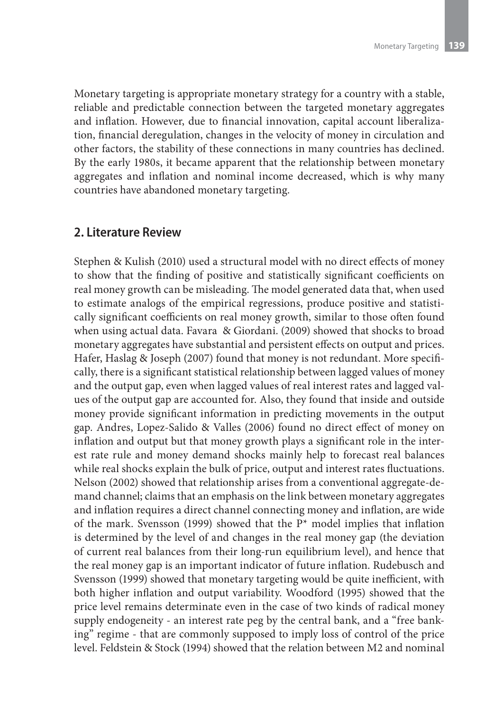Monetary targeting is appropriate monetary strategy for a country with a stable, reliable and predictable connection between the targeted monetary aggregates and inflation. However, due to financial innovation, capital account liberalization, financial deregulation, changes in the velocity of money in circulation and other factors, the stability of these connections in many countries has declined. By the early 1980s, it became apparent that the relationship between monetary aggregates and inflation and nominal income decreased, which is why many countries have abandoned monetary targeting.

#### **2. Literature Review**

Stephen & Kulish (2010) used a structural model with no direct effects of money to show that the finding of positive and statistically significant coefficients on real money growth can be misleading. The model generated data that, when used to estimate analogs of the empirical regressions, produce positive and statistically significant coefficients on real money growth, similar to those often found when using actual data. Favara & Giordani. (2009) showed that shocks to broad monetary aggregates have substantial and persistent effects on output and prices. Hafer, Haslag & Joseph (2007) found that money is not redundant. More specifically, there is a significant statistical relationship between lagged values of money and the output gap, even when lagged values of real interest rates and lagged values of the output gap are accounted for. Also, they found that inside and outside money provide significant information in predicting movements in the output gap. Andres, Lopez-Salido & Valles (2006) found no direct effect of money on inflation and output but that money growth plays a significant role in the interest rate rule and money demand shocks mainly help to forecast real balances while real shocks explain the bulk of price, output and interest rates fluctuations. Nelson (2002) showed that relationship arises from a conventional aggregate-demand channel; claims that an emphasis on the link between monetary aggregates and inflation requires a direct channel connecting money and inflation, are wide of the mark. Svensson (1999) showed that the  $P^*$  model implies that inflation is determined by the level of and changes in the real money gap (the deviation of current real balances from their long-run equilibrium level), and hence that the real money gap is an important indicator of future inflation. Rudebusch and Svensson (1999) showed that monetary targeting would be quite inefficient, with both higher inflation and output variability. Woodford (1995) showed that the price level remains determinate even in the case of two kinds of radical money supply endogeneity - an interest rate peg by the central bank, and a "free banking" regime - that are commonly supposed to imply loss of control of the price level. Feldstein & Stock (1994) showed that the relation between M2 and nominal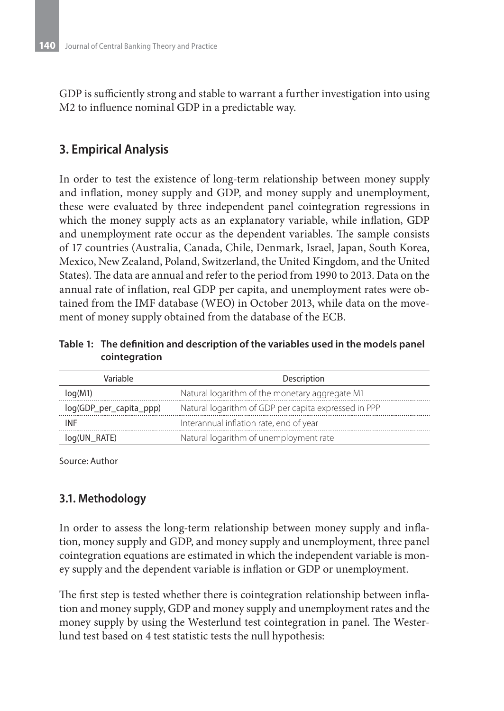GDP is sufficiently strong and stable to warrant a further investigation into using M2 to influence nominal GDP in a predictable way.

### **3. Empirical Analysis**

In order to test the existence of long-term relationship between money supply and inflation, money supply and GDP, and money supply and unemployment, these were evaluated by three independent panel cointegration regressions in which the money supply acts as an explanatory variable, while inflation, GDP and unemployment rate occur as the dependent variables. The sample consists of 17 countries (Australia, Canada, Chile, Denmark, Israel, Japan, South Korea, Mexico, New Zealand, Poland, Switzerland, the United Kingdom, and the United States). The data are annual and refer to the period from 1990 to 2013. Data on the annual rate of inflation, real GDP per capita, and unemployment rates were obtained from the IMF database (WEO) in October 2013, while data on the movement of money supply obtained from the database of the ECB.

**Table 1: The definition and description of the variables used in the models panel cointegration**

| Variable                | Description                                          |
|-------------------------|------------------------------------------------------|
| log(M1)                 | Natural logarithm of the monetary aggregate M1       |
| log(GDP_per_capita_ppp) | Natural logarithm of GDP per capita expressed in PPP |
| <b>INF</b>              | Interannual inflation rate, end of year              |
| log(UN RATE)            | Natural logarithm of unemployment rate               |

Source: Author

#### **3.1. Methodology**

In order to assess the long-term relationship between money supply and inflation, money supply and GDP, and money supply and unemployment, three panel cointegration equations are estimated in which the independent variable is money supply and the dependent variable is inflation or GDP or unemployment.

The first step is tested whether there is cointegration relationship between inflation and money supply, GDP and money supply and unemployment rates and the money supply by using the Westerlund test cointegration in panel. The Westerlund test based on 4 test statistic tests the null hypothesis: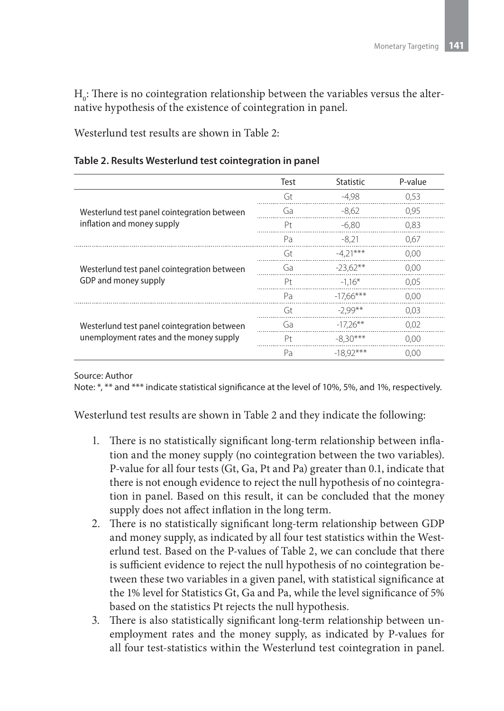$H_0$ : There is no cointegration relationship between the variables versus the alternative hypothesis of the existence of cointegration in panel.

Westerlund test results are shown in Table 2:

**Table 2. Results Westerlund test cointegration in panel**

|                                             | Test | <b>Statistic</b> | P-value |
|---------------------------------------------|------|------------------|---------|
|                                             | Gt   | $-4.98$          | 0.53    |
| Westerlund test panel cointegration between | Ga   | $-8,62$          | 0,95    |
| inflation and money supply                  | Pt   | $-6.80$          | 0.83    |
|                                             | Pa   | $-8.21$          | 0,67    |
|                                             | Gt   | $-4.21***$       | 0.00    |
| Westerlund test panel cointegration between | Ga   | $-23.62**$       | 0.00    |
| GDP and money supply                        | Pt.  | $-1.16*$         | 0.05    |
|                                             | Pa   | $-17.66***$      | 0,00    |
|                                             | Gt   | $-2.99**$        | 0.03    |
| Westerlund test panel cointegration between | Ga   | $-17.26**$       | 0.02    |
| unemployment rates and the money supply     | Pt.  | $-8.30***$       | 0.00    |
|                                             | Pa   | $-18.92***$      | 0.00    |

Source: Author

Note: \*, \*\* and \*\*\* indicate statistical significance at the level of 10%, 5%, and 1%, respectively.

Westerlund test results are shown in Table 2 and they indicate the following:

- 1. There is no statistically significant long-term relationship between inflation and the money supply (no cointegration between the two variables). P-value for all four tests (Gt, Ga, Pt and Pa) greater than 0.1, indicate that there is not enough evidence to reject the null hypothesis of no cointegration in panel. Based on this result, it can be concluded that the money supply does not affect inflation in the long term.
- 2. There is no statistically significant long-term relationship between GDP and money supply, as indicated by all four test statistics within the Westerlund test. Based on the P-values of Table 2, we can conclude that there is sufficient evidence to reject the null hypothesis of no cointegration between these two variables in a given panel, with statistical significance at the 1% level for Statistics Gt, Ga and Pa, while the level significance of 5% based on the statistics Pt rejects the null hypothesis.
- 3. There is also statistically significant long-term relationship between unemployment rates and the money supply, as indicated by P-values for all four test-statistics within the Westerlund test cointegration in panel.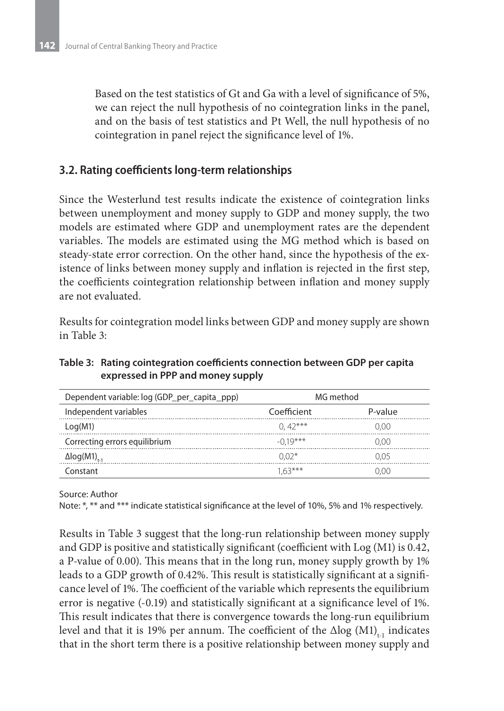Based on the test statistics of Gt and Ga with a level of significance of 5%, we can reject the null hypothesis of no cointegration links in the panel, and on the basis of test statistics and Pt Well, the null hypothesis of no cointegration in panel reject the significance level of 1%.

#### **3.2. Rating coefficients long-term relationships**

Since the Westerlund test results indicate the existence of cointegration links between unemployment and money supply to GDP and money supply, the two models are estimated where GDP and unemployment rates are the dependent variables. The models are estimated using the MG method which is based on steady-state error correction. On the other hand, since the hypothesis of the existence of links between money supply and inflation is rejected in the first step, the coefficients cointegration relationship between inflation and money supply are not evaluated.

Results for cointegration model links between GDP and money supply are shown in Table 3:

| Table 3: Rating cointegration coefficients connection between GDP per capita |
|------------------------------------------------------------------------------|
| expressed in PPP and money supply                                            |
|                                                                              |

| Dependent variable: log (GDP_per_capita_ppp) | MG method   |         |  |
|----------------------------------------------|-------------|---------|--|
| Independent variables                        | Coefficient | P-value |  |
| Log(M1)                                      | $(1.42***)$ | 0.00    |  |
| Correcting errors equilibrium                | $-0.19***$  | 0.00    |  |
| $\Delta$ log(M1) <sub>t-1</sub>              | $0.02*$     | 0.05    |  |
| -onstant                                     | $163***$    | . (၂( ) |  |

Source: Author

Note: \*, \*\* and \*\*\* indicate statistical significance at the level of 10%, 5% and 1% respectively.

Results in Table 3 suggest that the long-run relationship between money supply and GDP is positive and statistically significant (coefficient with Log (M1) is 0.42, a P-value of 0.00). This means that in the long run, money supply growth by 1% leads to a GDP growth of 0.42%. This result is statistically significant at a significance level of 1%. The coefficient of the variable which represents the equilibrium error is negative (-0.19) and statistically significant at a significance level of 1%. This result indicates that there is convergence towards the long-run equilibrium level and that it is 19% per annum. The coefficient of the  $\Delta$ log (M1)<sub>th</sub> indicates that in the short term there is a positive relationship between money supply and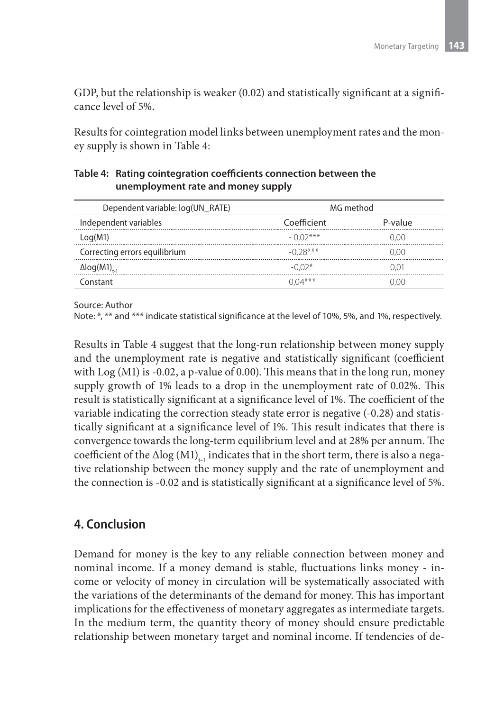GDP, but the relationship is weaker (0.02) and statistically significant at a significance level of 5%.

Results for cointegration model links between unemployment rates and the money supply is shown in Table 4:

#### **Table 4: Rating cointegration coefficients connection between the unemployment rate and money supply**

| Dependent variable: log(UN_RATE) | MG method    |         |  |
|----------------------------------|--------------|---------|--|
| Independent variables            | Coefficient  | P-value |  |
| Log(M1)                          | $-0.02***$   | 0.00    |  |
| Correcting errors equilibrium    | $-0.28***$   | 2.00    |  |
| $\Delta$ log(M1) <sub>t-1</sub>  | $-0.02*$     |         |  |
| Constant                         | $(1)(14***)$ | חמו     |  |

Source: Author

Note: \*, \*\* and \*\*\* indicate statistical significance at the level of 10%, 5%, and 1%, respectively.

Results in Table 4 suggest that the long-run relationship between money supply and the unemployment rate is negative and statistically significant (coefficient with  $Log (M1)$  is -0.02, a p-value of 0.00). This means that in the long run, money supply growth of 1% leads to a drop in the unemployment rate of 0.02%. This result is statistically significant at a significance level of 1%. The coefficient of the variable indicating the correction steady state error is negative (-0.28) and statistically significant at a significance level of 1%. This result indicates that there is convergence towards the long-term equilibrium level and at 28% per annum. The coefficient of the  $\Delta$ log (M1)<sub>t-1</sub> indicates that in the short term, there is also a negative relationship between the money supply and the rate of unemployment and the connection is -0.02 and is statistically significant at a significance level of 5%.

### **4. Conclusion**

Demand for money is the key to any reliable connection between money and nominal income. If a money demand is stable, fluctuations links money - income or velocity of money in circulation will be systematically associated with the variations of the determinants of the demand for money. This has important implications for the effectiveness of monetary aggregates as intermediate targets. In the medium term, the quantity theory of money should ensure predictable relationship between monetary target and nominal income. If tendencies of de-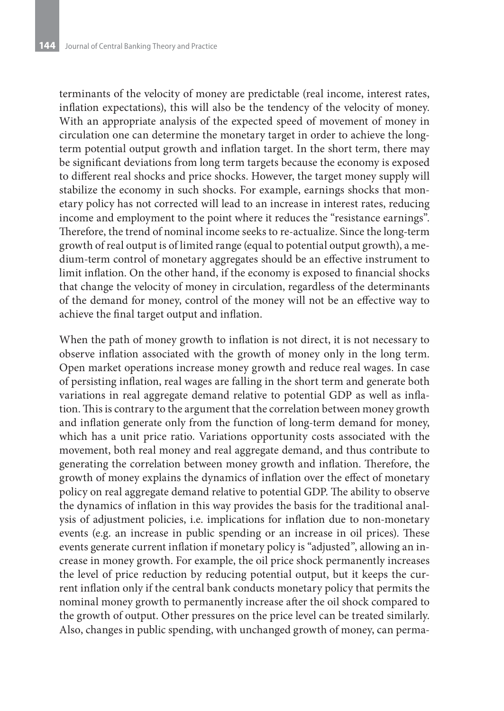terminants of the velocity of money are predictable (real income, interest rates, inflation expectations), this will also be the tendency of the velocity of money. With an appropriate analysis of the expected speed of movement of money in circulation one can determine the monetary target in order to achieve the longterm potential output growth and inflation target. In the short term, there may be significant deviations from long term targets because the economy is exposed to different real shocks and price shocks. However, the target money supply will stabilize the economy in such shocks. For example, earnings shocks that monetary policy has not corrected will lead to an increase in interest rates, reducing income and employment to the point where it reduces the "resistance earnings". Therefore, the trend of nominal income seeks to re-actualize. Since the long-term growth of real output is of limited range (equal to potential output growth), a medium-term control of monetary aggregates should be an effective instrument to limit inflation. On the other hand, if the economy is exposed to financial shocks that change the velocity of money in circulation, regardless of the determinants of the demand for money, control of the money will not be an effective way to achieve the final target output and inflation.

When the path of money growth to inflation is not direct, it is not necessary to observe inflation associated with the growth of money only in the long term. Open market operations increase money growth and reduce real wages. In case of persisting inflation, real wages are falling in the short term and generate both variations in real aggregate demand relative to potential GDP as well as inflation. This is contrary to the argument that the correlation between money growth and inflation generate only from the function of long-term demand for money, which has a unit price ratio. Variations opportunity costs associated with the movement, both real money and real aggregate demand, and thus contribute to generating the correlation between money growth and inflation. Therefore, the growth of money explains the dynamics of inflation over the effect of monetary policy on real aggregate demand relative to potential GDP. The ability to observe the dynamics of inflation in this way provides the basis for the traditional analysis of adjustment policies, i.e. implications for inflation due to non-monetary events (e.g. an increase in public spending or an increase in oil prices). These events generate current inflation if monetary policy is "adjusted", allowing an increase in money growth. For example, the oil price shock permanently increases the level of price reduction by reducing potential output, but it keeps the current inflation only if the central bank conducts monetary policy that permits the nominal money growth to permanently increase after the oil shock compared to the growth of output. Other pressures on the price level can be treated similarly. Also, changes in public spending, with unchanged growth of money, can perma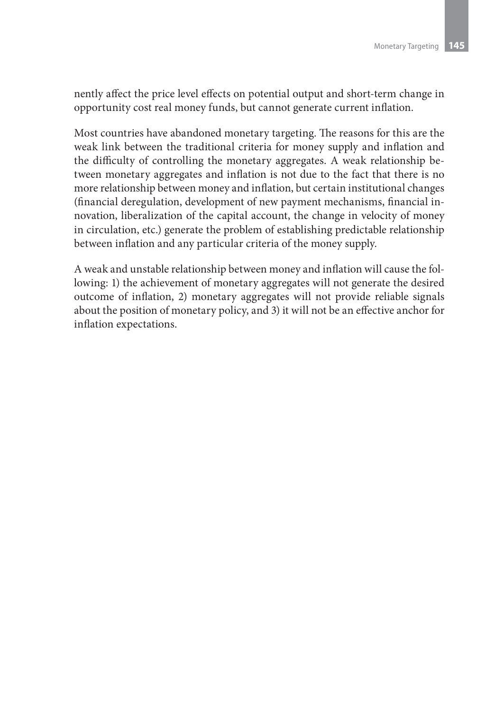nently affect the price level effects on potential output and short-term change in opportunity cost real money funds, but cannot generate current inflation.

Most countries have abandoned monetary targeting. The reasons for this are the weak link between the traditional criteria for money supply and inflation and the difficulty of controlling the monetary aggregates. A weak relationship between monetary aggregates and inflation is not due to the fact that there is no more relationship between money and inflation, but certain institutional changes (financial deregulation, development of new payment mechanisms, financial innovation, liberalization of the capital account, the change in velocity of money in circulation, etc.) generate the problem of establishing predictable relationship between inflation and any particular criteria of the money supply.

A weak and unstable relationship between money and inflation will cause the following: 1) the achievement of monetary aggregates will not generate the desired outcome of inflation, 2) monetary aggregates will not provide reliable signals about the position of monetary policy, and 3) it will not be an effective anchor for inflation expectations.